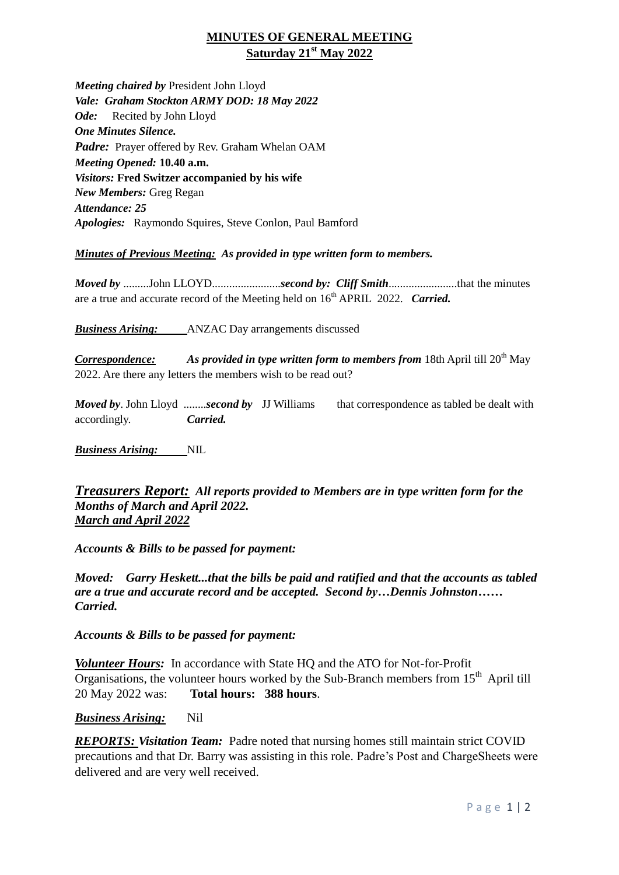## **MINUTES OF GENERAL MEETING Saturday 21st May 2022**

*Meeting chaired by* President John Lloyd *Vale: Graham Stockton ARMY DOD: 18 May 2022 Ode:* Recited by John Lloyd *One Minutes Silence. Padre:* Prayer offered by Rev. Graham Whelan OAM *Meeting Opened:* **10.40 a.m.** *Visitors:* **Fred Switzer accompanied by his wife** *New Members:* Greg Regan *Attendance: 25 Apologies:* Raymondo Squires, Steve Conlon, Paul Bamford

## *Minutes of Previous Meeting: As provided in type written form to members.*

*Moved by* .........John LLOYD........................*second by: Cliff Smith*........................that the minutes are a true and accurate record of the Meeting held on  $16<sup>th</sup>$  APRIL 2022. *Carried.* 

*Business Arising:* ANZAC Day arrangements discussed

**Correspondence:** As provided in type written form to members from 18th April till 20<sup>th</sup> May 2022. Are there any letters the members wish to be read out?

*Moved by*. John Lloyd ........*second by* JJ Williams that correspondence as tabled be dealt with accordingly. *Carried.*

*Business Arising:* NIL

*Treasurers Report: All reports provided to Members are in type written form for the Months of March and April 2022. March and April 2022*

*Accounts & Bills to be passed for payment:*

*Moved: Garry Heskett...that the bills be paid and ratified and that the accounts as tabled are a true and accurate record and be accepted. Second by…Dennis Johnston…… Carried.*

*Accounts & Bills to be passed for payment:*

*Volunteer Hours:* In accordance with State HQ and the ATO for Not-for-Profit Organisations, the volunteer hours worked by the Sub-Branch members from  $15<sup>th</sup>$  April till 20 May 2022 was: **Total hours: 388 hours**.

*Business Arising:* Nil

*REPORTS: Visitation Team:* Padre noted that nursing homes still maintain strict COVID precautions and that Dr. Barry was assisting in this role. Padre's Post and ChargeSheets were delivered and are very well received.